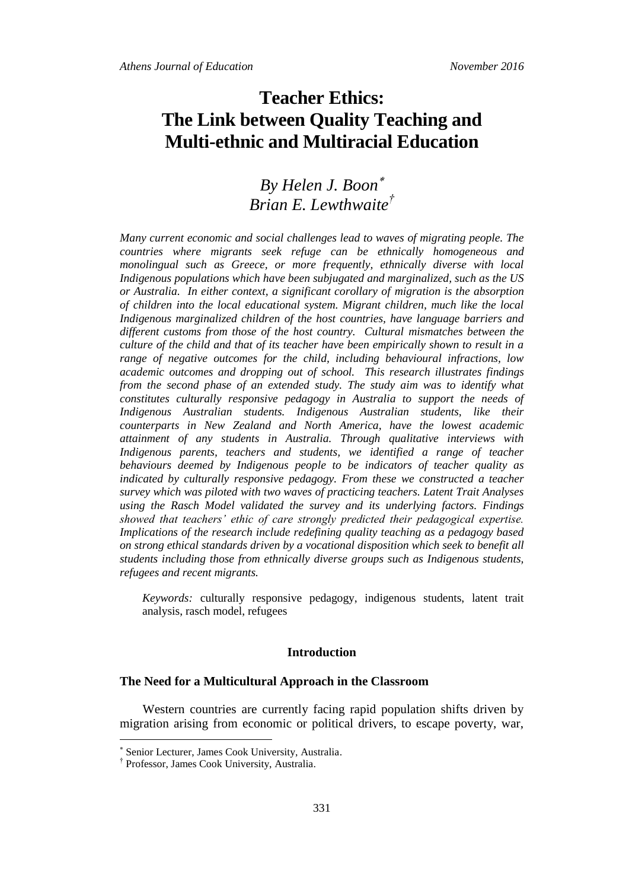# **Teacher Ethics: The Link between Quality Teaching and Multi-ethnic and Multiracial Education**

## *By Helen J. Boon Brian E. Lewthwaite†*

*Many current economic and social challenges lead to waves of migrating people. The countries where migrants seek refuge can be ethnically homogeneous and monolingual such as Greece, or more frequently, ethnically diverse with local Indigenous populations which have been subjugated and marginalized, such as the US or Australia. In either context, a significant corollary of migration is the absorption of children into the local educational system. Migrant children, much like the local Indigenous marginalized children of the host countries, have language barriers and different customs from those of the host country. Cultural mismatches between the culture of the child and that of its teacher have been empirically shown to result in a range of negative outcomes for the child, including behavioural infractions, low academic outcomes and dropping out of school. This research illustrates findings from the second phase of an extended study. The study aim was to identify what constitutes culturally responsive pedagogy in Australia to support the needs of Indigenous Australian students. Indigenous Australian students, like their counterparts in New Zealand and North America, have the lowest academic attainment of any students in Australia. Through qualitative interviews with Indigenous parents, teachers and students, we identified a range of teacher behaviours deemed by Indigenous people to be indicators of teacher quality as indicated by culturally responsive pedagogy. From these we constructed a teacher survey which was piloted with two waves of practicing teachers. Latent Trait Analyses using the Rasch Model validated the survey and its underlying factors. Findings showed that teachers' ethic of care strongly predicted their pedagogical expertise. Implications of the research include redefining quality teaching as a pedagogy based on strong ethical standards driven by a vocational disposition which seek to benefit all students including those from ethnically diverse groups such as Indigenous students, refugees and recent migrants.*

*Keywords:* culturally responsive pedagogy, indigenous students, latent trait analysis, rasch model, refugees

#### **Introduction**

#### **The Need for a Multicultural Approach in the Classroom**

Western countries are currently facing rapid population shifts driven by migration arising from economic or political drivers, to escape poverty, war,

 $\overline{a}$ 

Senior Lecturer, James Cook University, Australia.

<sup>†</sup> Professor, James Cook University, Australia.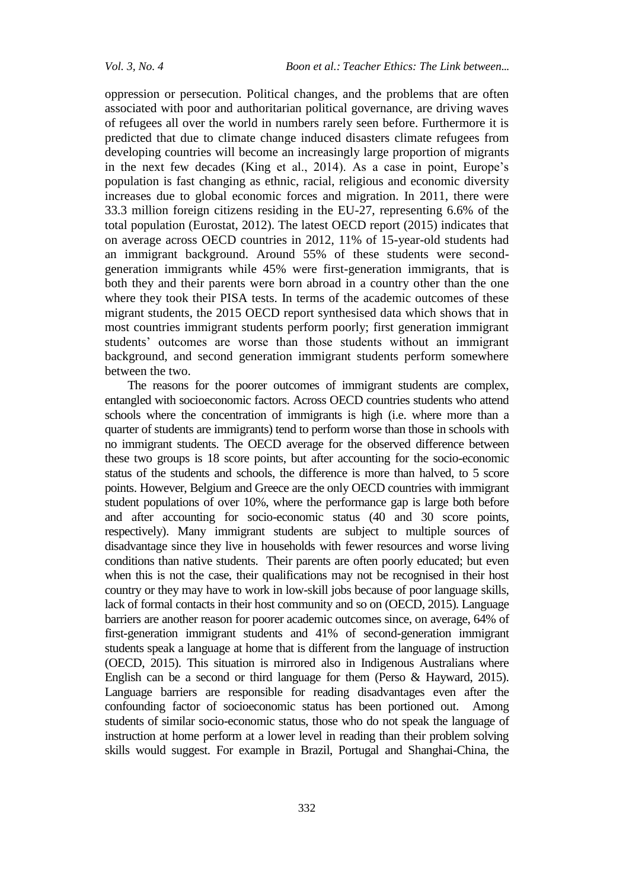oppression or persecution. Political changes, and the problems that are often associated with poor and authoritarian political governance, are driving waves of refugees all over the world in numbers rarely seen before. Furthermore it is predicted that due to climate change induced disasters climate refugees from developing countries will become an increasingly large proportion of migrants in the next few decades (King et al., 2014). As a case in point, Europe's population is fast changing as ethnic, racial, religious and economic diversity increases due to global economic forces and migration. In 2011, there were 33.3 million foreign citizens residing in the EU-27, representing 6.6% of the total population (Eurostat, 2012). The latest OECD report (2015) indicates that on average across OECD countries in 2012, 11% of 15-year-old students had an immigrant background. Around 55% of these students were secondgeneration immigrants while 45% were first-generation immigrants, that is both they and their parents were born abroad in a country other than the one where they took their PISA tests. In terms of the academic outcomes of these migrant students, the 2015 OECD report synthesised data which shows that in most countries immigrant students perform poorly; first generation immigrant students' outcomes are worse than those students without an immigrant background, and second generation immigrant students perform somewhere between the two.

The reasons for the poorer outcomes of immigrant students are complex, entangled with socioeconomic factors. Across OECD countries students who attend schools where the concentration of immigrants is high (i.e. where more than a quarter of students are immigrants) tend to perform worse than those in schools with no immigrant students. The OECD average for the observed difference between these two groups is 18 score points, but after accounting for the socio-economic status of the students and schools, the difference is more than halved, to 5 score points. However, Belgium and Greece are the only OECD countries with immigrant student populations of over 10%, where the performance gap is large both before and after accounting for socio-economic status (40 and 30 score points, respectively). Many immigrant students are subject to multiple sources of disadvantage since they live in households with fewer resources and worse living conditions than native students. Their parents are often poorly educated; but even when this is not the case, their qualifications may not be recognised in their host country or they may have to work in low-skill jobs because of poor language skills, lack of formal contacts in their host community and so on (OECD, 2015). Language barriers are another reason for poorer academic outcomes since, on average, 64% of first-generation immigrant students and 41% of second-generation immigrant students speak a language at home that is different from the language of instruction (OECD, 2015). This situation is mirrored also in Indigenous Australians where English can be a second or third language for them (Perso & Hayward, 2015). Language barriers are responsible for reading disadvantages even after the confounding factor of socioeconomic status has been portioned out. Among students of similar socio-economic status, those who do not speak the language of instruction at home perform at a lower level in reading than their problem solving skills would suggest. For example in Brazil, Portugal and Shanghai-China, the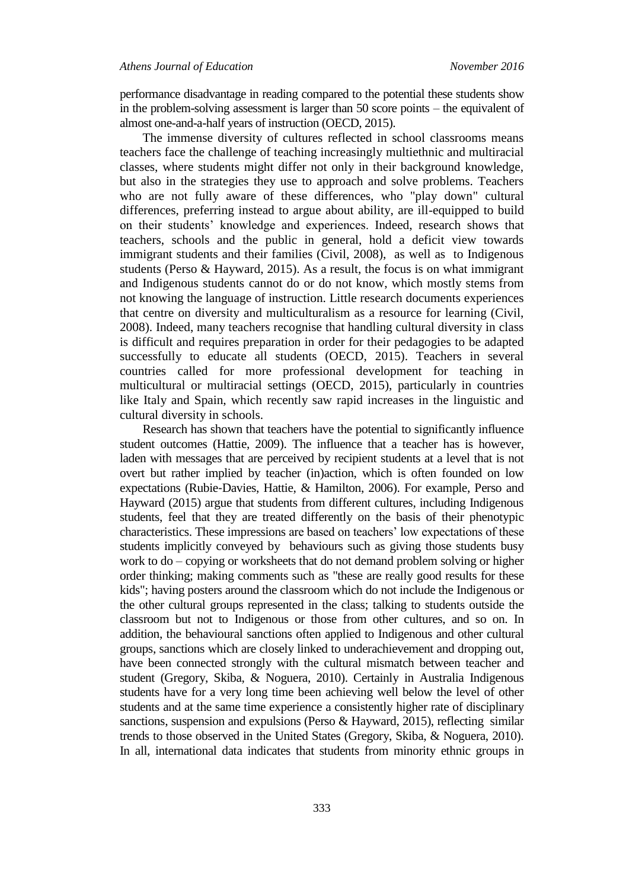performance disadvantage in reading compared to the potential these students show in the problem-solving assessment is larger than 50 score points – the equivalent of almost one-and-a-half years of instruction (OECD, 2015).

The immense diversity of cultures reflected in school classrooms means teachers face the challenge of teaching increasingly multiethnic and multiracial classes, where students might differ not only in their background knowledge, but also in the strategies they use to approach and solve problems. Teachers who are not fully aware of these differences, who "play down" cultural differences, preferring instead to argue about ability, are ill-equipped to build on their students' knowledge and experiences. Indeed, research shows that teachers, schools and the public in general, hold a deficit view towards immigrant students and their families (Civil, 2008), as well as to Indigenous students (Perso & Hayward, 2015). As a result, the focus is on what immigrant and Indigenous students cannot do or do not know, which mostly stems from not knowing the language of instruction. Little research documents experiences that centre on diversity and multiculturalism as a resource for learning (Civil, 2008). Indeed, many teachers recognise that handling cultural diversity in class is difficult and requires preparation in order for their pedagogies to be adapted successfully to educate all students (OECD, 2015). Teachers in several countries called for more professional development for teaching in multicultural or multiracial settings (OECD, 2015), particularly in countries like Italy and Spain, which recently saw rapid increases in the linguistic and cultural diversity in schools.

Research has shown that teachers have the potential to significantly influence student outcomes (Hattie, 2009). The influence that a teacher has is however, laden with messages that are perceived by recipient students at a level that is not overt but rather implied by teacher (in)action, which is often founded on low expectations (Rubie‐Davies, Hattie, & Hamilton, 2006). For example, Perso and Hayward (2015) argue that students from different cultures, including Indigenous students, feel that they are treated differently on the basis of their phenotypic characteristics. These impressions are based on teachers' low expectations of these students implicitly conveyed by behaviours such as giving those students busy work to do – copying or worksheets that do not demand problem solving or higher order thinking; making comments such as "these are really good results for these kids"; having posters around the classroom which do not include the Indigenous or the other cultural groups represented in the class; talking to students outside the classroom but not to Indigenous or those from other cultures, and so on. In addition, the behavioural sanctions often applied to Indigenous and other cultural groups, sanctions which are closely linked to underachievement and dropping out, have been connected strongly with the cultural mismatch between teacher and student (Gregory, Skiba, & Noguera, 2010). Certainly in Australia Indigenous students have for a very long time been achieving well below the level of other students and at the same time experience a consistently higher rate of disciplinary sanctions, suspension and expulsions (Perso & Hayward, 2015), reflecting similar trends to those observed in the United States (Gregory, Skiba, & Noguera, 2010). In all, international data indicates that students from minority ethnic groups in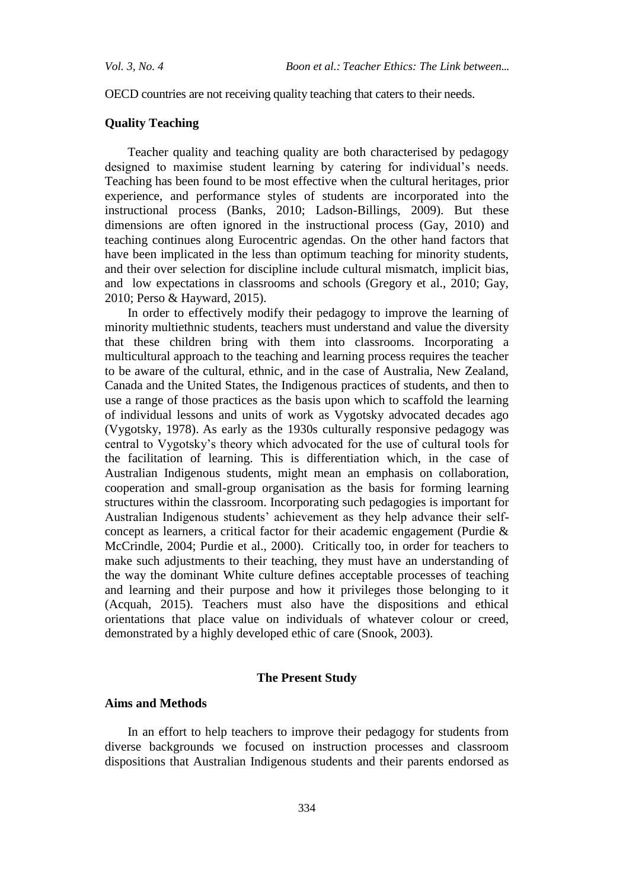OECD countries are not receiving quality teaching that caters to their needs.

#### **Quality Teaching**

Teacher quality and teaching quality are both characterised by pedagogy designed to maximise student learning by catering for individual's needs. Teaching has been found to be most effective when the cultural heritages, prior experience, and performance styles of students are incorporated into the instructional process (Banks, 2010; Ladson-Billings, 2009). But these dimensions are often ignored in the instructional process (Gay, 2010) and teaching continues along Eurocentric agendas. On the other hand factors that have been implicated in the less than optimum teaching for minority students, and their over selection for discipline include cultural mismatch, implicit bias, and low expectations in classrooms and schools (Gregory et al., 2010; Gay, 2010; Perso & Hayward, 2015).

In order to effectively modify their pedagogy to improve the learning of minority multiethnic students, teachers must understand and value the diversity that these children bring with them into classrooms. Incorporating a multicultural approach to the teaching and learning process requires the teacher to be aware of the cultural, ethnic, and in the case of Australia, New Zealand, Canada and the United States, the Indigenous practices of students, and then to use a range of those practices as the basis upon which to scaffold the learning of individual lessons and units of work as Vygotsky advocated decades ago (Vygotsky, 1978). As early as the 1930s culturally responsive pedagogy was central to Vygotsky's theory which advocated for the use of cultural tools for the facilitation of learning. This is differentiation which, in the case of Australian Indigenous students, might mean an emphasis on collaboration, cooperation and small-group organisation as the basis for forming learning structures within the classroom. Incorporating such pedagogies is important for Australian Indigenous students' achievement as they help advance their selfconcept as learners, a critical factor for their academic engagement (Purdie & McCrindle, 2004; Purdie et al., 2000). Critically too, in order for teachers to make such adjustments to their teaching, they must have an understanding of the way the dominant White culture defines acceptable processes of teaching and learning and their purpose and how it privileges those belonging to it (Acquah, 2015). Teachers must also have the dispositions and ethical orientations that place value on individuals of whatever colour or creed, demonstrated by a highly developed ethic of care (Snook, 2003).

#### **The Present Study**

#### **Aims and Methods**

In an effort to help teachers to improve their pedagogy for students from diverse backgrounds we focused on instruction processes and classroom dispositions that Australian Indigenous students and their parents endorsed as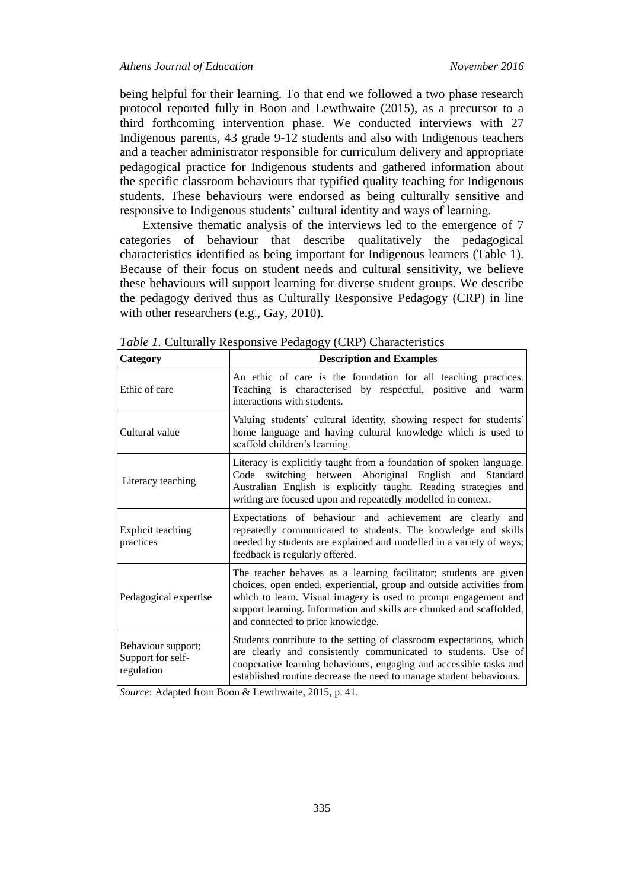being helpful for their learning. To that end we followed a two phase research protocol reported fully in Boon and Lewthwaite (2015), as a precursor to a third forthcoming intervention phase. We conducted interviews with 27 Indigenous parents, 43 grade 9-12 students and also with Indigenous teachers and a teacher administrator responsible for curriculum delivery and appropriate pedagogical practice for Indigenous students and gathered information about the specific classroom behaviours that typified quality teaching for Indigenous students. These behaviours were endorsed as being culturally sensitive and responsive to Indigenous students' cultural identity and ways of learning.

Extensive thematic analysis of the interviews led to the emergence of 7 categories of behaviour that describe qualitatively the pedagogical characteristics identified as being important for Indigenous learners (Table 1). Because of their focus on student needs and cultural sensitivity, we believe these behaviours will support learning for diverse student groups. We describe the pedagogy derived thus as Culturally Responsive Pedagogy (CRP) in line with other researchers (e.g., Gay, 2010).

| Category                                              | <b>Description and Examples</b>                                                                                                                                                                                                                                                                                           |  |  |  |  |  |
|-------------------------------------------------------|---------------------------------------------------------------------------------------------------------------------------------------------------------------------------------------------------------------------------------------------------------------------------------------------------------------------------|--|--|--|--|--|
| Ethic of care                                         | An ethic of care is the foundation for all teaching practices.<br>Teaching is characterised by respectful, positive and warm<br>interactions with students.                                                                                                                                                               |  |  |  |  |  |
| Cultural value                                        | Valuing students' cultural identity, showing respect for students'<br>home language and having cultural knowledge which is used to<br>scaffold children's learning.                                                                                                                                                       |  |  |  |  |  |
| Literacy teaching                                     | Literacy is explicitly taught from a foundation of spoken language.<br>Code switching between Aboriginal English and Standard<br>Australian English is explicitly taught. Reading strategies and<br>writing are focused upon and repeatedly modelled in context.                                                          |  |  |  |  |  |
| Explicit teaching<br>practices                        | Expectations of behaviour and achievement are clearly and<br>repeatedly communicated to students. The knowledge and skills<br>needed by students are explained and modelled in a variety of ways;<br>feedback is regularly offered.                                                                                       |  |  |  |  |  |
| Pedagogical expertise                                 | The teacher behaves as a learning facilitator; students are given<br>choices, open ended, experiential, group and outside activities from<br>which to learn. Visual imagery is used to prompt engagement and<br>support learning. Information and skills are chunked and scaffolded,<br>and connected to prior knowledge. |  |  |  |  |  |
| Behaviour support;<br>Support for self-<br>regulation | Students contribute to the setting of classroom expectations, which<br>are clearly and consistently communicated to students. Use of<br>cooperative learning behaviours, engaging and accessible tasks and<br>established routine decrease the need to manage student behaviours.                                         |  |  |  |  |  |

*Table 1.* Culturally Responsive Pedagogy (CRP) Characteristics

*Source*: Adapted from Boon & Lewthwaite, 2015, p. 41.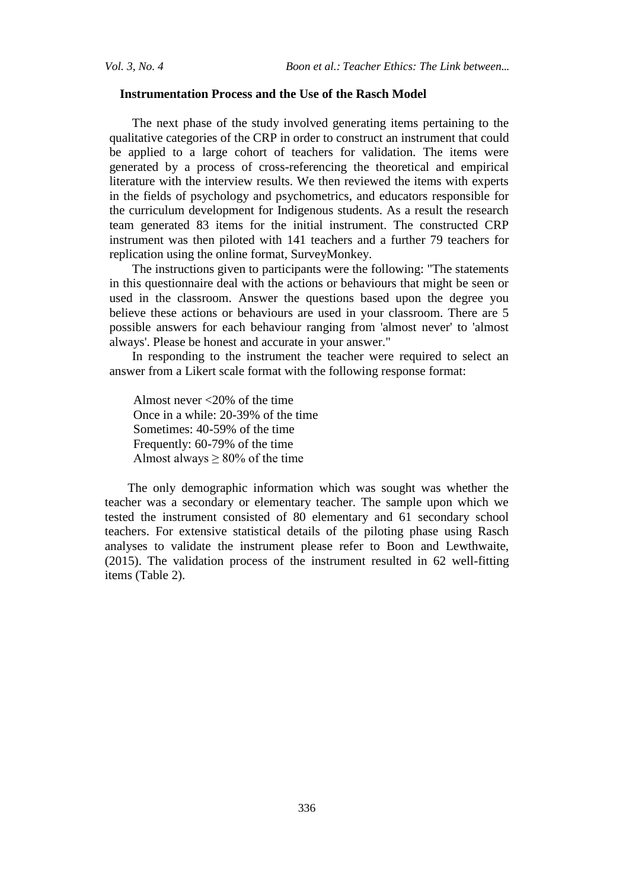#### **Instrumentation Process and the Use of the Rasch Model**

The next phase of the study involved generating items pertaining to the qualitative categories of the CRP in order to construct an instrument that could be applied to a large cohort of teachers for validation. The items were generated by a process of cross-referencing the theoretical and empirical literature with the interview results. We then reviewed the items with experts in the fields of psychology and psychometrics, and educators responsible for the curriculum development for Indigenous students. As a result the research team generated 83 items for the initial instrument. The constructed CRP instrument was then piloted with 141 teachers and a further 79 teachers for replication using the online format, SurveyMonkey.

The instructions given to participants were the following: "The statements in this questionnaire deal with the actions or behaviours that might be seen or used in the classroom. Answer the questions based upon the degree you believe these actions or behaviours are used in your classroom. There are 5 possible answers for each behaviour ranging from 'almost never' to 'almost always'. Please be honest and accurate in your answer."

In responding to the instrument the teacher were required to select an answer from a Likert scale format with the following response format:

Almost never <20% of the time Once in a while: 20-39% of the time Sometimes: 40-59% of the time Frequently: 60-79% of the time Almost always  $\geq 80\%$  of the time

The only demographic information which was sought was whether the teacher was a secondary or elementary teacher. The sample upon which we tested the instrument consisted of 80 elementary and 61 secondary school teachers. For extensive statistical details of the piloting phase using Rasch analyses to validate the instrument please refer to Boon and Lewthwaite, (2015). The validation process of the instrument resulted in 62 well-fitting items (Table 2).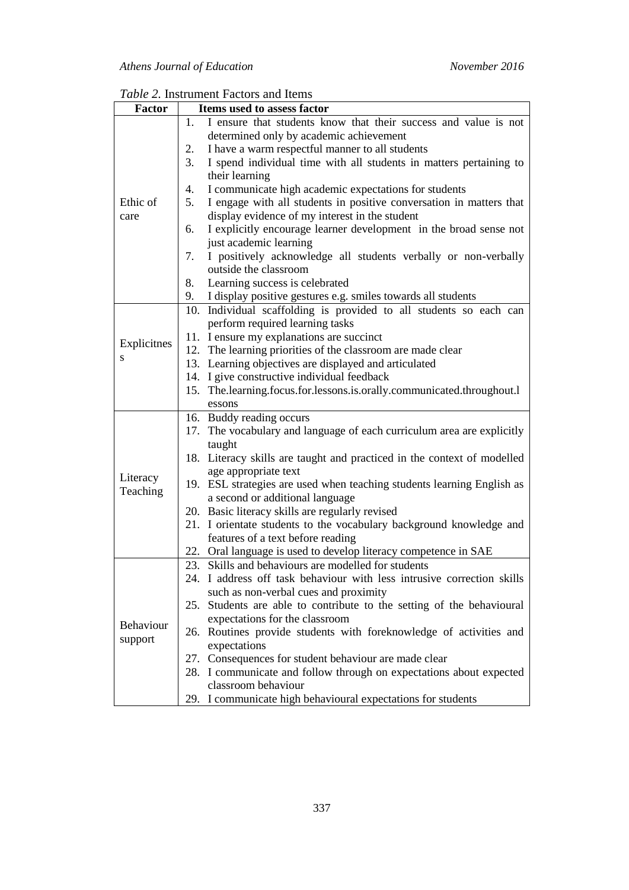| <b>Factor</b>    | Items used to assess factor                                               |
|------------------|---------------------------------------------------------------------------|
|                  | I ensure that students know that their success and value is not<br>1.     |
|                  | determined only by academic achievement                                   |
|                  | I have a warm respectful manner to all students<br>2.                     |
|                  | 3.<br>I spend individual time with all students in matters pertaining to  |
|                  | their learning                                                            |
|                  | I communicate high academic expectations for students<br>4.               |
| Ethic of         | 5.<br>I engage with all students in positive conversation in matters that |
| care             | display evidence of my interest in the student                            |
|                  | I explicitly encourage learner development in the broad sense not<br>6.   |
|                  | just academic learning                                                    |
|                  | I positively acknowledge all students verbally or non-verbally<br>7.      |
|                  | outside the classroom                                                     |
|                  | Learning success is celebrated<br>8.                                      |
|                  | I display positive gestures e.g. smiles towards all students<br>9.        |
|                  | Individual scaffolding is provided to all students so each can<br>10.     |
| Explicitnes<br>S | perform required learning tasks                                           |
|                  | 11. I ensure my explanations are succinct                                 |
|                  | 12. The learning priorities of the classroom are made clear               |
|                  | 13. Learning objectives are displayed and articulated                     |
|                  | 14. I give constructive individual feedback                               |
|                  | 15. The.learning.focus.for.lessons.is.orally.communicated.throughout.l    |
|                  | essons                                                                    |
|                  | 16. Buddy reading occurs                                                  |
|                  | 17. The vocabulary and language of each curriculum area are explicitly    |
|                  | taught                                                                    |
|                  | 18. Literacy skills are taught and practiced in the context of modelled   |
| Literacy         | age appropriate text                                                      |
| Teaching         | 19. ESL strategies are used when teaching students learning English as    |
|                  | a second or additional language                                           |
|                  | 20. Basic literacy skills are regularly revised                           |
|                  | 21. I orientate students to the vocabulary background knowledge and       |
|                  | features of a text before reading                                         |
|                  | 22. Oral language is used to develop literacy competence in SAE           |
|                  | 23. Skills and behaviours are modelled for students                       |
|                  | 24. I address off task behaviour with less intrusive correction skills    |
|                  | such as non-verbal cues and proximity                                     |
|                  | 25. Students are able to contribute to the setting of the behavioural     |
| Behaviour        | expectations for the classroom                                            |
| support          | 26. Routines provide students with foreknowledge of activities and        |
|                  | expectations                                                              |
|                  | 27. Consequences for student behaviour are made clear                     |
|                  | 28. I communicate and follow through on expectations about expected       |
|                  | classroom behaviour                                                       |
|                  | 29. I communicate high behavioural expectations for students              |

*Table 2.* Instrument Factors and Items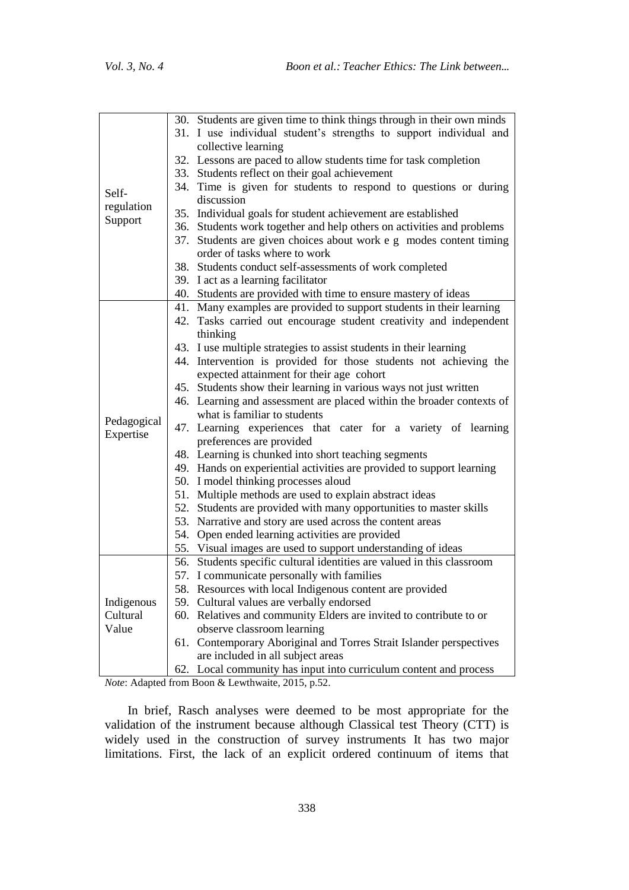|                                 | 30. Students are given time to think things through in their own minds |  |  |  |  |  |  |
|---------------------------------|------------------------------------------------------------------------|--|--|--|--|--|--|
|                                 | 31. I use individual student's strengths to support individual and     |  |  |  |  |  |  |
|                                 | collective learning                                                    |  |  |  |  |  |  |
|                                 | 32. Lessons are paced to allow students time for task completion       |  |  |  |  |  |  |
| Self-<br>regulation<br>Support  | 33. Students reflect on their goal achievement                         |  |  |  |  |  |  |
|                                 | 34. Time is given for students to respond to questions or during       |  |  |  |  |  |  |
|                                 | discussion                                                             |  |  |  |  |  |  |
|                                 | 35. Individual goals for student achievement are established           |  |  |  |  |  |  |
|                                 | 36. Students work together and help others on activities and problems  |  |  |  |  |  |  |
|                                 | Students are given choices about work e g modes content timing<br>37.  |  |  |  |  |  |  |
|                                 | order of tasks where to work                                           |  |  |  |  |  |  |
|                                 | 38. Students conduct self-assessments of work completed                |  |  |  |  |  |  |
|                                 | 39. I act as a learning facilitator                                    |  |  |  |  |  |  |
|                                 | 40. Students are provided with time to ensure mastery of ideas         |  |  |  |  |  |  |
|                                 | 41. Many examples are provided to support students in their learning   |  |  |  |  |  |  |
|                                 | 42. Tasks carried out encourage student creativity and independent     |  |  |  |  |  |  |
|                                 | thinking                                                               |  |  |  |  |  |  |
|                                 | 43. I use multiple strategies to assist students in their learning     |  |  |  |  |  |  |
|                                 | 44. Intervention is provided for those students not achieving the      |  |  |  |  |  |  |
|                                 | expected attainment for their age cohort                               |  |  |  |  |  |  |
|                                 | 45. Students show their learning in various ways not just written      |  |  |  |  |  |  |
|                                 | 46. Learning and assessment are placed within the broader contexts of  |  |  |  |  |  |  |
| Pedagogical                     | what is familiar to students                                           |  |  |  |  |  |  |
| Expertise                       | 47. Learning experiences that cater for a variety of learning          |  |  |  |  |  |  |
|                                 | preferences are provided                                               |  |  |  |  |  |  |
|                                 | 48. Learning is chunked into short teaching segments                   |  |  |  |  |  |  |
|                                 | 49. Hands on experiential activities are provided to support learning  |  |  |  |  |  |  |
|                                 | 50. I model thinking processes aloud                                   |  |  |  |  |  |  |
|                                 | 51. Multiple methods are used to explain abstract ideas                |  |  |  |  |  |  |
|                                 | 52. Students are provided with many opportunities to master skills     |  |  |  |  |  |  |
|                                 | 53. Narrative and story are used across the content areas              |  |  |  |  |  |  |
|                                 | 54. Open ended learning activities are provided                        |  |  |  |  |  |  |
|                                 | 55. Visual images are used to support understanding of ideas           |  |  |  |  |  |  |
| Indigenous<br>Cultural<br>Value | 56. Students specific cultural identities are valued in this classroom |  |  |  |  |  |  |
|                                 | 57. I communicate personally with families                             |  |  |  |  |  |  |
|                                 | 58. Resources with local Indigenous content are provided               |  |  |  |  |  |  |
|                                 | Cultural values are verbally endorsed<br>59.                           |  |  |  |  |  |  |
|                                 | 60. Relatives and community Elders are invited to contribute to or     |  |  |  |  |  |  |
|                                 | observe classroom learning                                             |  |  |  |  |  |  |
|                                 | 61. Contemporary Aboriginal and Torres Strait Islander perspectives    |  |  |  |  |  |  |
|                                 | are included in all subject areas                                      |  |  |  |  |  |  |
|                                 | 62. Local community has input into curriculum content and process      |  |  |  |  |  |  |

*Note*: Adapted from Boon & Lewthwaite, 2015, p.52.

In brief, Rasch analyses were deemed to be most appropriate for the validation of the instrument because although Classical test Theory (CTT) is widely used in the construction of survey instruments It has two major limitations. First, the lack of an explicit ordered continuum of items that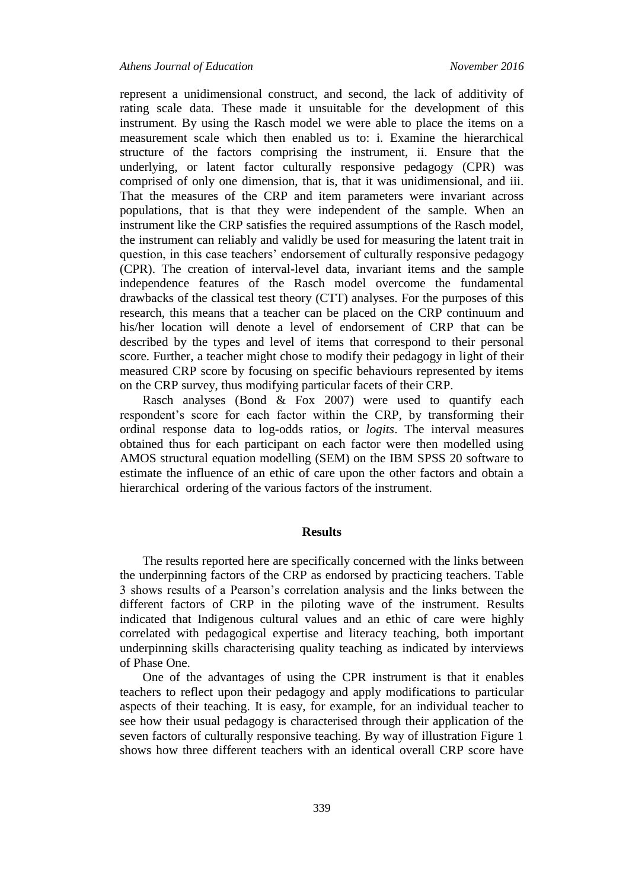represent a unidimensional construct, and second, the lack of additivity of rating scale data. These made it unsuitable for the development of this instrument. By using the Rasch model we were able to place the items on a measurement scale which then enabled us to: i. Examine the hierarchical structure of the factors comprising the instrument, ii. Ensure that the underlying, or latent factor culturally responsive pedagogy (CPR) was comprised of only one dimension, that is, that it was unidimensional, and iii. That the measures of the CRP and item parameters were invariant across populations, that is that they were independent of the sample. When an instrument like the CRP satisfies the required assumptions of the Rasch model, the instrument can reliably and validly be used for measuring the latent trait in question, in this case teachers' endorsement of culturally responsive pedagogy (CPR). The creation of interval-level data, invariant items and the sample independence features of the Rasch model overcome the fundamental drawbacks of the classical test theory (CTT) analyses. For the purposes of this research, this means that a teacher can be placed on the CRP continuum and his/her location will denote a level of endorsement of CRP that can be described by the types and level of items that correspond to their personal score. Further, a teacher might chose to modify their pedagogy in light of their measured CRP score by focusing on specific behaviours represented by items on the CRP survey, thus modifying particular facets of their CRP.

Rasch analyses (Bond & Fox 2007) were used to quantify each respondent's score for each factor within the CRP, by transforming their ordinal response data to log-odds ratios, or *logits*. The interval measures obtained thus for each participant on each factor were then modelled using AMOS structural equation modelling (SEM) on the IBM SPSS 20 software to estimate the influence of an ethic of care upon the other factors and obtain a hierarchical ordering of the various factors of the instrument.

#### **Results**

The results reported here are specifically concerned with the links between the underpinning factors of the CRP as endorsed by practicing teachers. Table 3 shows results of a Pearson's correlation analysis and the links between the different factors of CRP in the piloting wave of the instrument. Results indicated that Indigenous cultural values and an ethic of care were highly correlated with pedagogical expertise and literacy teaching, both important underpinning skills characterising quality teaching as indicated by interviews of Phase One.

One of the advantages of using the CPR instrument is that it enables teachers to reflect upon their pedagogy and apply modifications to particular aspects of their teaching. It is easy, for example, for an individual teacher to see how their usual pedagogy is characterised through their application of the seven factors of culturally responsive teaching. By way of illustration Figure 1 shows how three different teachers with an identical overall CRP score have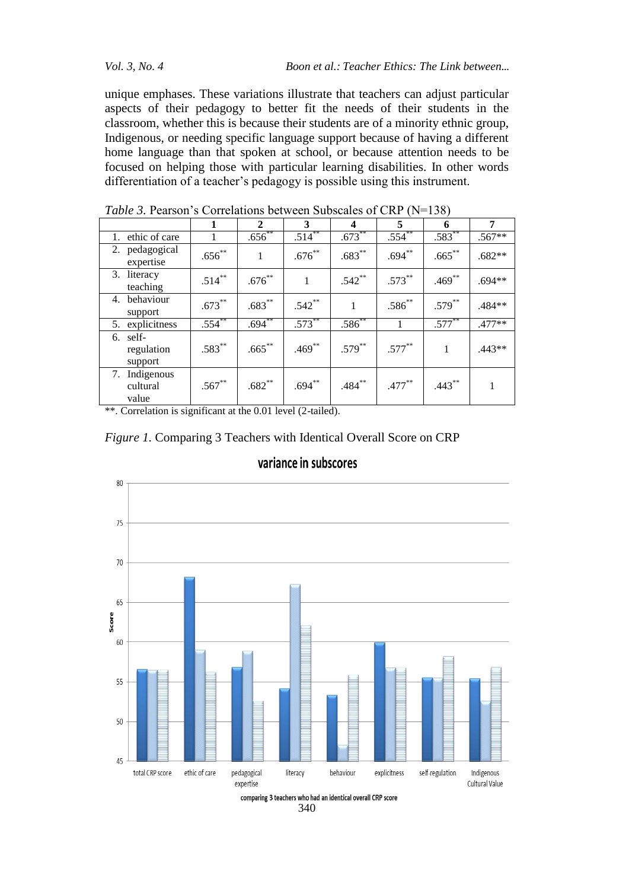*Vol. 3, No. 4 Boon et al.: Teacher Ethics: The Link between...*

unique emphases. These variations illustrate that teachers can adjust particular aspects of their pedagogy to better fit the needs of their students in the classroom, whether this is because their students are of a minority ethnic group, Indigenous, or needing specific language support because of having a different home language than that spoken at school, or because attention needs to be focused on helping those with particular learning disabilities. In other words differentiation of a teacher's pedagogy is possible using this instrument.

| <i>Lable 5</i> , I calboll 5 Colletations between Babbeares of CIM TIV<br>1 J J J |             |             |             |             |             |             |          |  |  |
|-----------------------------------------------------------------------------------|-------------|-------------|-------------|-------------|-------------|-------------|----------|--|--|
|                                                                                   |             | 2           | 3           | 4           | 5           | 6           | 7        |  |  |
| 1. ethic of care                                                                  |             | $.656^{**}$ | $.514***$   | $.673^{**}$ | $.554^{**}$ | $.583^{**}$ | $.567**$ |  |  |
| 2. pedagogical<br>expertise                                                       | $.656^{**}$ |             | $.676***$   | $.683***$   | $.694***$   | $.665***$   | $.682**$ |  |  |
| 3. literacy<br>teaching                                                           | $.514***$   | $.676^{**}$ | 1           | $.542***$   | $.573***$   | $.469***$   | $.694**$ |  |  |
| 4. behaviour<br>support                                                           | $.673***$   | $.683***$   | $.542***$   |             | $.586^{**}$ | $.579***$   | .484**   |  |  |
| 5. explicitness                                                                   | $.554$ **   | $.694**$    | $.573^{**}$ | $.586^{**}$ |             | $.577***$   | $.477**$ |  |  |
| 6. self-<br>regulation<br>support                                                 | $.583***$   | $.665***$   | $.469***$   | $.579***$   | $.577***$   | 1           | $.443**$ |  |  |
| 7. Indigenous<br>cultural<br>value                                                | $.567**$    | $.682**$    | $.694***$   | $.484***$   | $.477***$   | $.443***$   |          |  |  |

*Table 3.* Pearson's Correlations between Subscales of CRP (N=138)

\*\*. Correlation is significant at the 0.01 level (2-tailed).





### variance in subscores

340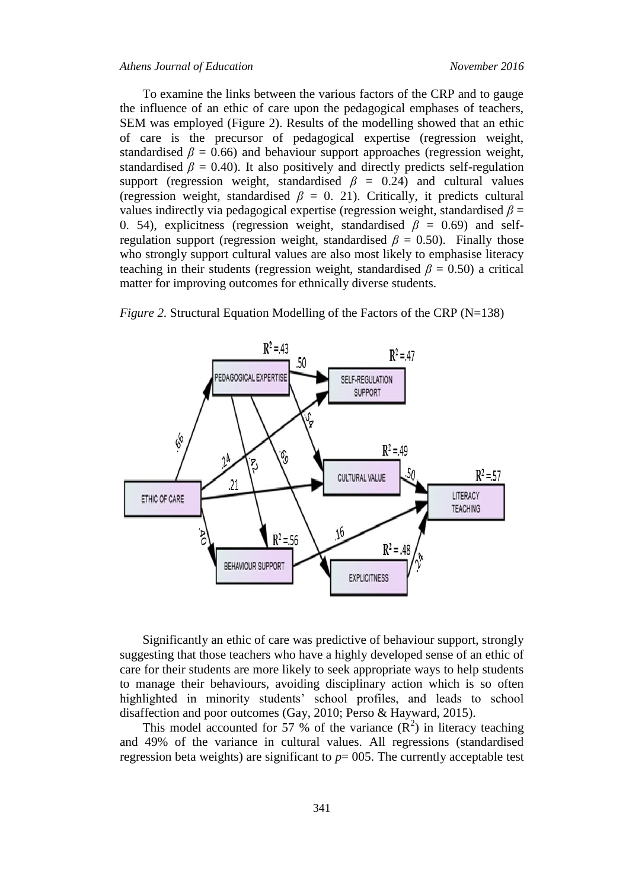#### *Athens Journal of Education November 2016*

To examine the links between the various factors of the CRP and to gauge the influence of an ethic of care upon the pedagogical emphases of teachers, SEM was employed (Figure 2). Results of the modelling showed that an ethic of care is the precursor of pedagogical expertise (regression weight, standardised  $\beta = 0.66$ ) and behaviour support approaches (regression weight, standardised  $\beta = 0.40$ ). It also positively and directly predicts self-regulation support (regression weight, standardised  $\beta$  = 0.24) and cultural values (regression weight, standardised  $\beta = 0$ . 21). Critically, it predicts cultural values indirectly via pedagogical expertise (regression weight, standardised  $\beta$  = 0. 54), explicitness (regression weight, standardised  $\beta = 0.69$ ) and selfregulation support (regression weight, standardised  $\beta = 0.50$ ). Finally those who strongly support cultural values are also most likely to emphasise literacy teaching in their students (regression weight, standardised  $\beta = 0.50$ ) a critical matter for improving outcomes for ethnically diverse students.



*Figure 2.* Structural Equation Modelling of the Factors of the CRP (N=138)

Significantly an ethic of care was predictive of behaviour support, strongly suggesting that those teachers who have a highly developed sense of an ethic of care for their students are more likely to seek appropriate ways to help students to manage their behaviours, avoiding disciplinary action which is so often highlighted in minority students' school profiles, and leads to school disaffection and poor outcomes (Gay, 2010; Perso & Hayward, 2015).

This model accounted for 57 % of the variance  $(R^2)$  in literacy teaching and 49% of the variance in cultural values. All regressions (standardised regression beta weights) are significant to  $p = 005$ . The currently acceptable test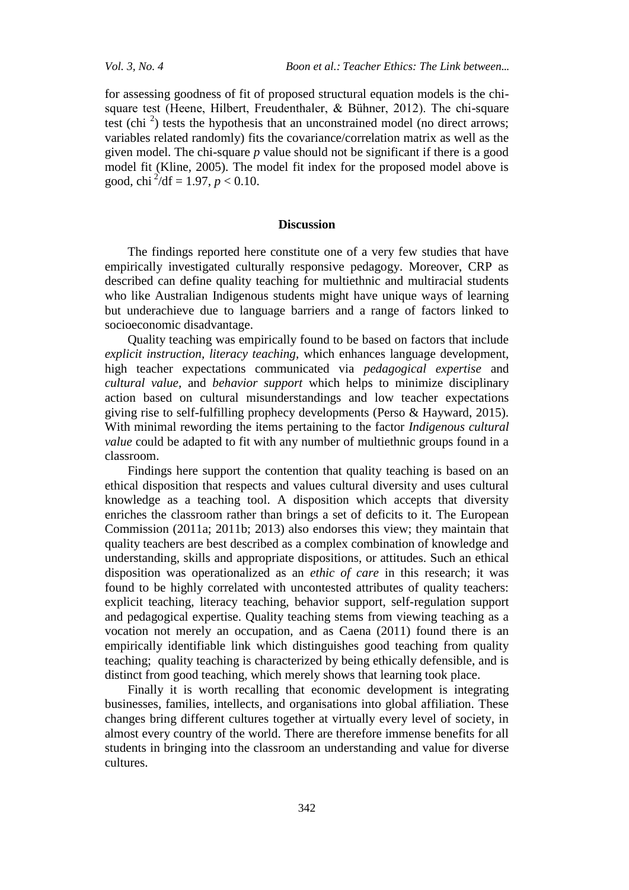*Vol. 3, No. 4 Boon et al.: Teacher Ethics: The Link between...*

for assessing goodness of fit of proposed structural equation models is the chisquare test (Heene, Hilbert, Freudenthaler, & Bühner, 2012). The chi-square test (chi<sup>2</sup>) tests the hypothesis that an unconstrained model (no direct arrows; variables related randomly) fits the covariance/correlation matrix as well as the given model. The chi-square *p* value should not be significant if there is a good model fit (Kline, 2005). The model fit index for the proposed model above is good, chi <sup>2</sup>/df = 1.97,  $p < 0.10$ .

#### **Discussion**

The findings reported here constitute one of a very few studies that have empirically investigated culturally responsive pedagogy. Moreover, CRP as described can define quality teaching for multiethnic and multiracial students who like Australian Indigenous students might have unique ways of learning but underachieve due to language barriers and a range of factors linked to socioeconomic disadvantage.

Quality teaching was empirically found to be based on factors that include *explicit instruction, literacy teaching,* which enhances language development, high teacher expectations communicated via *pedagogical expertise* and *cultural value,* and *behavior support* which helps to minimize disciplinary action based on cultural misunderstandings and low teacher expectations giving rise to self-fulfilling prophecy developments (Perso & Hayward, 2015). With minimal rewording the items pertaining to the factor *Indigenous cultural value* could be adapted to fit with any number of multiethnic groups found in a classroom.

Findings here support the contention that quality teaching is based on an ethical disposition that respects and values cultural diversity and uses cultural knowledge as a teaching tool. A disposition which accepts that diversity enriches the classroom rather than brings a set of deficits to it. The European Commission (2011a; 2011b; 2013) also endorses this view; they maintain that quality teachers are best described as a complex combination of knowledge and understanding, skills and appropriate dispositions, or attitudes. Such an ethical disposition was operationalized as an *ethic of care* in this research; it was found to be highly correlated with uncontested attributes of quality teachers: explicit teaching, literacy teaching, behavior support, self-regulation support and pedagogical expertise. Quality teaching stems from viewing teaching as a vocation not merely an occupation, and as Caena (2011) found there is an empirically identifiable link which distinguishes good teaching from quality teaching; quality teaching is characterized by being ethically defensible, and is distinct from good teaching, which merely shows that learning took place.

Finally it is worth recalling that economic development is integrating businesses, families, intellects, and organisations into global affiliation. These changes bring different cultures together at virtually every level of society, in almost every country of the world. There are therefore immense benefits for all students in bringing into the classroom an understanding and value for diverse cultures.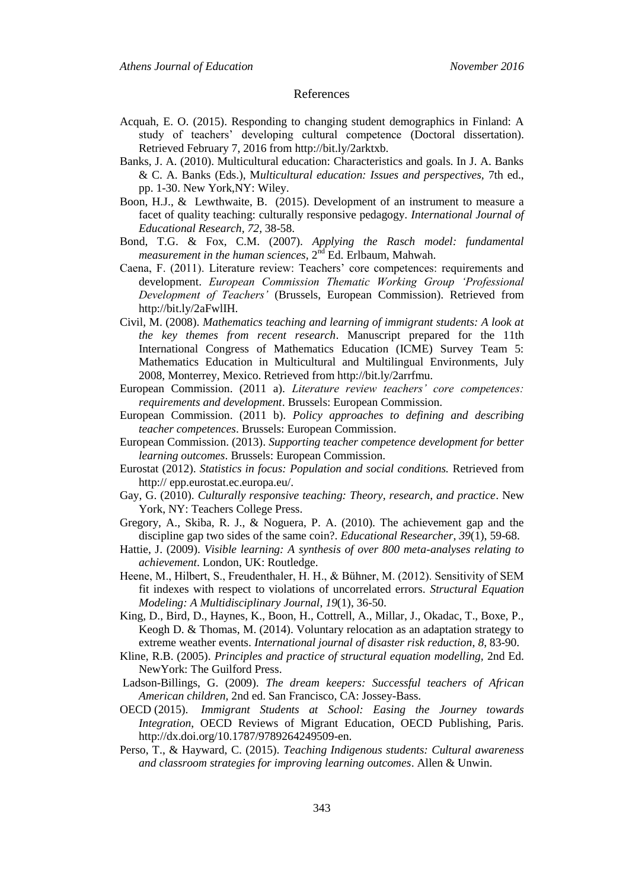#### References

- Acquah, E. O. (2015). Responding to changing student demographics in Finland: A study of teachers' developing cultural competence (Doctoral dissertation). Retrieved February 7, 2016 from http://bit.ly/2arktxb.
- Banks, J. A. (2010). Multicultural education: Characteristics and goals. In J. A. Banks & C. A. Banks (Eds.), M*ulticultural education: Issues and perspectives,* 7th ed., pp. 1-30. New York,NY: Wiley.
- Boon, H.J., & Lewthwaite, B. (2015). Development of an instrument to measure a facet of quality teaching: culturally responsive pedagogy. *International Journal of Educational Research, 72,* 38-58.
- Bond, T.G. & Fox, C.M. (2007). *Applying the Rasch model: fundamental measurement in the human sciences,* 2 nd Ed. Erlbaum, Mahwah.
- Caena, F. (2011). Literature review: Teachers' core competences: requirements and development. *European Commission Thematic Working Group 'Professional Development of Teachers'* (Brussels, European Commission). Retrieved from http://bit.ly/2aFwlIH.
- Civil, M. (2008). *Mathematics teaching and learning of immigrant students: A look at the key themes from recent research*. Manuscript prepared for the 11th International Congress of Mathematics Education (ICME) Survey Team 5: Mathematics Education in Multicultural and Multilingual Environments, July 2008, Monterrey, Mexico. Retrieved from http://bit.ly/2arrfmu.
- European Commission. (2011 a). *Literature review teachers' core competences: requirements and development*. Brussels: European Commission.
- European Commission. (2011 b). *Policy approaches to defining and describing teacher competences*. Brussels: European Commission.
- European Commission. (2013). *Supporting teacher competence development for better learning outcomes*. Brussels: European Commission.
- Eurostat (2012). *Statistics in focus: Population and social conditions.* Retrieved from http:// epp.eurostat.ec.europa.eu/.
- Gay, G. (2010). *Culturally responsive teaching: Theory, research, and practice*. New York, NY: Teachers College Press.
- Gregory, A., Skiba, R. J., & Noguera, P. A. (2010). The achievement gap and the discipline gap two sides of the same coin?. *Educational Researcher*, *39*(1), 59-68.
- Hattie, J. (2009). *Visible learning: A synthesis of over 800 meta-analyses relating to achievement*. London, UK: Routledge.
- Heene, M., Hilbert, S., Freudenthaler, H. H., & Bühner, M. (2012). Sensitivity of SEM fit indexes with respect to violations of uncorrelated errors. *Structural Equation Modeling: A Multidisciplinary Journal*, *19*(1), 36-50.
- King, D., Bird, D., Haynes, K., Boon, H., Cottrell, A., Millar, J., Okadac, T., Boxe, P., Keogh D. & Thomas, M. (2014). Voluntary relocation as an adaptation strategy to extreme weather events. *International journal of disaster risk reduction*, *8*, 83-90.
- Kline, R.B. (2005). *Principles and practice of structural equation modelling,* 2nd Ed. NewYork: The Guilford Press.
- Ladson-Billings, G. (2009). *The dream keepers: Successful teachers of African American children,* 2nd ed. San Francisco, CA: Jossey-Bass.
- OECD (2015). *Immigrant Students at School: Easing the Journey towards Integration*, OECD Reviews of Migrant Education, OECD Publishing, Paris. http://dx.doi.org/10.1787/9789264249509-en.
- Perso, T., & Hayward, C. (2015). *Teaching Indigenous students: Cultural awareness and classroom strategies for improving learning outcomes*. Allen & Unwin.